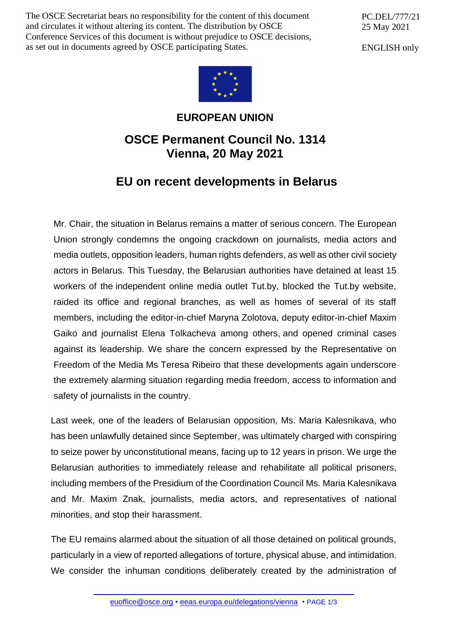The OSCE Secretariat bears no responsibility for the content of this document and circulates it without altering its content. The distribution by OSCE Conference Services of this document is without prejudice to OSCE decisions, as set out in documents agreed by OSCE participating States.

PC.DEL/777/21 25 May 2021

ENGLISH only



## **EUROPEAN UNION**

## **OSCE Permanent Council No. 1314 Vienna, 20 May 2021**

## **EU on recent developments in Belarus**

Mr. Chair, the situation in Belarus remains a matter of serious concern. The European Union strongly condemns the ongoing crackdown on journalists, media actors and media outlets, opposition leaders, human rights defenders, as well as other civil society actors in Belarus. This Tuesday, the Belarusian authorities have detained at least 15 workers of the independent online media outlet Tut.by, blocked the Tut.by website, raided its office and regional branches, as well as homes of several of its staff members, including the editor-in-chief Maryna Zolotova, deputy editor-in-chief Maxim Gaiko and journalist Elena Tolkacheva among others, and opened criminal cases against its leadership. We share the concern expressed by the Representative on Freedom of the Media Ms Teresa Ribeiro that these developments again underscore the extremely alarming situation regarding media freedom, access to information and safety of journalists in the country.

Last week, one of the leaders of Belarusian opposition, Ms. Maria Kalesnikava, who has been unlawfully detained since September, was ultimately charged with conspiring to seize power by unconstitutional means, facing up to 12 years in prison. We urge the Belarusian authorities to immediately release and rehabilitate all political prisoners, including members of the Presidium of the Coordination Council Ms. Maria Kalesnikava and Mr. Maxim Znak, journalists, media actors, and representatives of national minorities, and stop their harassment.

The EU remains alarmed about the situation of all those detained on political grounds, particularly in a view of reported allegations of torture, physical abuse, and intimidation. We consider the inhuman conditions deliberately created by the administration of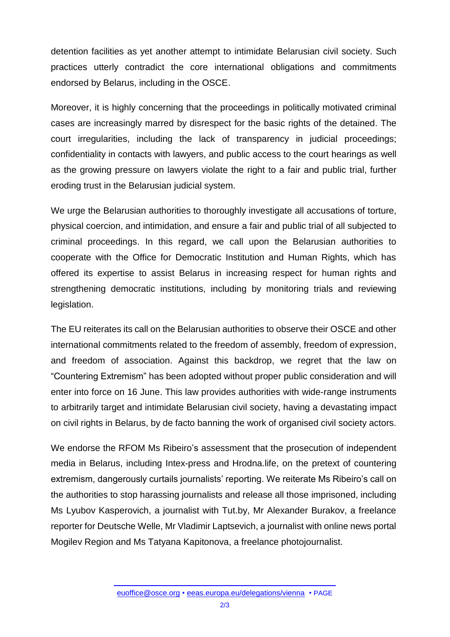detention facilities as yet another attempt to intimidate Belarusian civil society. Such practices utterly contradict the core international obligations and commitments endorsed by Belarus, including in the OSCE.

Moreover, it is highly concerning that the proceedings in politically motivated criminal cases are increasingly marred by disrespect for the basic rights of the detained. The court irregularities, including the lack of transparency in judicial proceedings; confidentiality in contacts with lawyers, and public access to the court hearings as well as the growing pressure on lawyers violate the right to a fair and public trial, further eroding trust in the Belarusian judicial system.

We urge the Belarusian authorities to thoroughly investigate all accusations of torture, physical coercion, and intimidation, and ensure a fair and public trial of all subjected to criminal proceedings. In this regard, we call upon the Belarusian authorities to cooperate with the Office for Democratic Institution and Human Rights, which has offered its expertise to assist Belarus in increasing respect for human rights and strengthening democratic institutions, including by monitoring trials and reviewing legislation.

The EU reiterates its call on the Belarusian authorities to observe their OSCE and other international commitments related to the freedom of assembly, freedom of expression, and freedom of association. Against this backdrop, we regret that the law on "Countering Extremism" has been adopted without proper public consideration and will enter into force on 16 June. This law provides authorities with wide-range instruments to arbitrarily target and intimidate Belarusian civil society, having a devastating impact on civil rights in Belarus, by de facto banning the work of organised civil society actors.

We endorse the RFOM Ms Ribeiro's assessment that the prosecution of independent media in Belarus, including Intex-press and Hrodna.life, on the pretext of countering extremism, dangerously curtails journalists' reporting. We reiterate Ms Ribeiro's call on the authorities to stop harassing journalists and release all those imprisoned, including Ms Lyubov Kasperovich, a journalist with Tut.by, Mr Alexander Burakov, a freelance reporter for Deutsche Welle, Mr Vladimir Laptsevich, a journalist with online news portal Mogilev Region and Ms Tatyana Kapitonova, a freelance photojournalist.